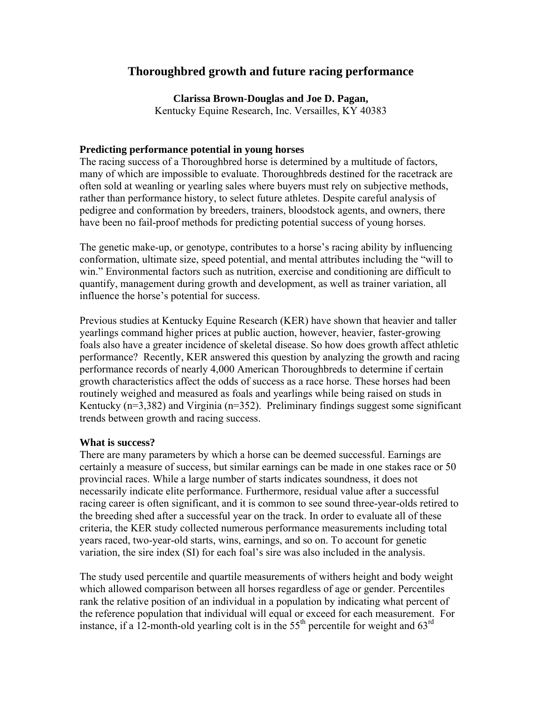# **Thoroughbred growth and future racing performance**

**Clarissa Brown-Douglas and Joe D. Pagan,** 

Kentucky Equine Research, Inc. Versailles, KY 40383

# **Predicting performance potential in young horses**

The racing success of a Thoroughbred horse is determined by a multitude of factors, many of which are impossible to evaluate. Thoroughbreds destined for the racetrack are often sold at weanling or yearling sales where buyers must rely on subjective methods, rather than performance history, to select future athletes. Despite careful analysis of pedigree and conformation by breeders, trainers, bloodstock agents, and owners, there have been no fail-proof methods for predicting potential success of young horses.

The genetic make-up, or genotype, contributes to a horse's racing ability by influencing conformation, ultimate size, speed potential, and mental attributes including the "will to win." Environmental factors such as nutrition, exercise and conditioning are difficult to quantify, management during growth and development, as well as trainer variation, all influence the horse's potential for success.

Previous studies at Kentucky Equine Research (KER) have shown that heavier and taller yearlings command higher prices at public auction, however, heavier, faster-growing foals also have a greater incidence of skeletal disease. So how does growth affect athletic performance? Recently, KER answered this question by analyzing the growth and racing performance records of nearly 4,000 American Thoroughbreds to determine if certain growth characteristics affect the odds of success as a race horse. These horses had been routinely weighed and measured as foals and yearlings while being raised on studs in Kentucky ( $n=3,382$ ) and Virginia ( $n=352$ ). Preliminary findings suggest some significant trends between growth and racing success.

#### **What is success?**

There are many parameters by which a horse can be deemed successful. Earnings are certainly a measure of success, but similar earnings can be made in one stakes race or 50 provincial races. While a large number of starts indicates soundness, it does not necessarily indicate elite performance. Furthermore, residual value after a successful racing career is often significant, and it is common to see sound three-year-olds retired to the breeding shed after a successful year on the track. In order to evaluate all of these criteria, the KER study collected numerous performance measurements including total years raced, two-year-old starts, wins, earnings, and so on. To account for genetic variation, the sire index (SI) for each foal's sire was also included in the analysis.

The study used percentile and quartile measurements of withers height and body weight which allowed comparison between all horses regardless of age or gender. Percentiles rank the relative position of an individual in a population by indicating what percent of the reference population that individual will equal or exceed for each measurement. For instance, if a 12-month-old yearling colt is in the  $55<sup>th</sup>$  percentile for weight and  $63<sup>rd</sup>$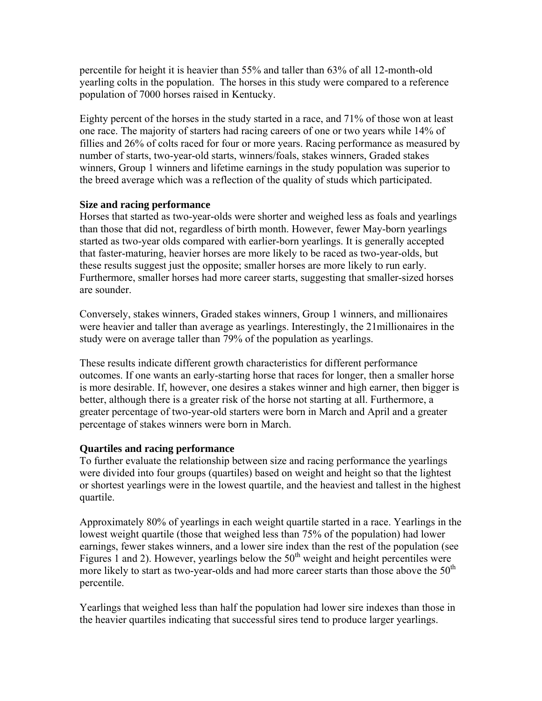percentile for height it is heavier than 55% and taller than 63% of all 12-month-old yearling colts in the population. The horses in this study were compared to a reference population of 7000 horses raised in Kentucky.

Eighty percent of the horses in the study started in a race, and 71% of those won at least one race. The majority of starters had racing careers of one or two years while 14% of fillies and 26% of colts raced for four or more years. Racing performance as measured by number of starts, two-year-old starts, winners/foals, stakes winners, Graded stakes winners, Group 1 winners and lifetime earnings in the study population was superior to the breed average which was a reflection of the quality of studs which participated.

### **Size and racing performance**

Horses that started as two-year-olds were shorter and weighed less as foals and yearlings than those that did not, regardless of birth month. However, fewer May-born yearlings started as two-year olds compared with earlier-born yearlings. It is generally accepted that faster-maturing, heavier horses are more likely to be raced as two-year-olds, but these results suggest just the opposite; smaller horses are more likely to run early. Furthermore, smaller horses had more career starts, suggesting that smaller-sized horses are sounder.

Conversely, stakes winners, Graded stakes winners, Group 1 winners, and millionaires were heavier and taller than average as yearlings. Interestingly, the 21millionaires in the study were on average taller than 79% of the population as yearlings.

These results indicate different growth characteristics for different performance outcomes. If one wants an early-starting horse that races for longer, then a smaller horse is more desirable. If, however, one desires a stakes winner and high earner, then bigger is better, although there is a greater risk of the horse not starting at all. Furthermore, a greater percentage of two-year-old starters were born in March and April and a greater percentage of stakes winners were born in March.

# **Quartiles and racing performance**

To further evaluate the relationship between size and racing performance the yearlings were divided into four groups (quartiles) based on weight and height so that the lightest or shortest yearlings were in the lowest quartile, and the heaviest and tallest in the highest quartile.

Approximately 80% of yearlings in each weight quartile started in a race. Yearlings in the lowest weight quartile (those that weighed less than 75% of the population) had lower earnings, fewer stakes winners, and a lower sire index than the rest of the population (see Figures 1 and 2). However, yearlings below the  $50<sup>th</sup>$  weight and height percentiles were more likely to start as two-year-olds and had more career starts than those above the  $50<sup>th</sup>$ percentile.

Yearlings that weighed less than half the population had lower sire indexes than those in the heavier quartiles indicating that successful sires tend to produce larger yearlings.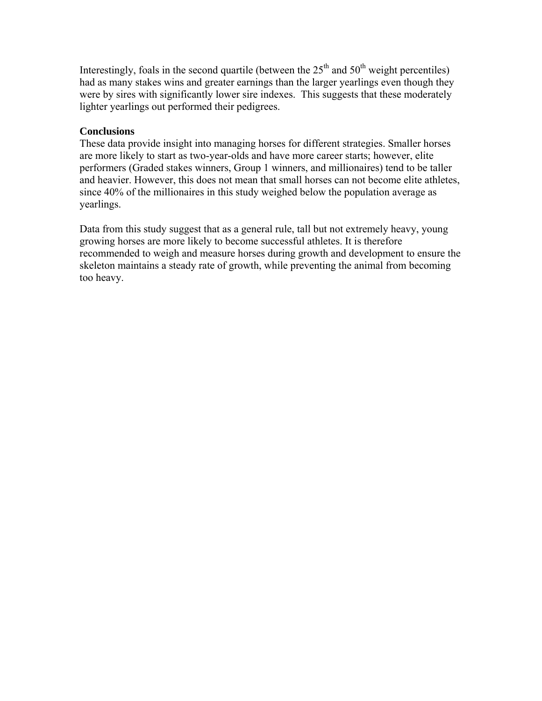Interestingly, foals in the second quartile (between the  $25<sup>th</sup>$  and  $50<sup>th</sup>$  weight percentiles) had as many stakes wins and greater earnings than the larger yearlings even though they were by sires with significantly lower sire indexes. This suggests that these moderately lighter yearlings out performed their pedigrees.

# **Conclusions**

These data provide insight into managing horses for different strategies. Smaller horses are more likely to start as two-year-olds and have more career starts; however, elite performers (Graded stakes winners, Group 1 winners, and millionaires) tend to be taller and heavier. However, this does not mean that small horses can not become elite athletes, since 40% of the millionaires in this study weighed below the population average as yearlings.

Data from this study suggest that as a general rule, tall but not extremely heavy, young growing horses are more likely to become successful athletes. It is therefore recommended to weigh and measure horses during growth and development to ensure the skeleton maintains a steady rate of growth, while preventing the animal from becoming too heavy.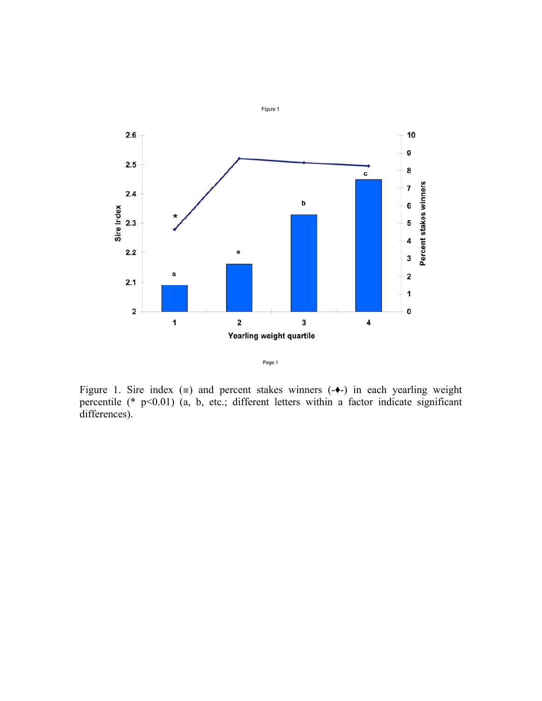



Figure 1. Sire index  $(\square)$  and percent stakes winners  $(-\blacklozenge-)$  in each yearling weight percentile (\* p<0.01) (a, b, etc.; different letters within a factor indicate significant differences).